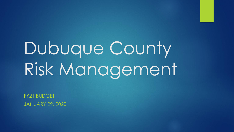# Dubuque County Risk Management

FY21 BUDGET JANUARY 29, 2020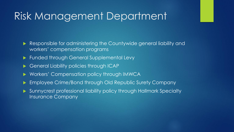#### Risk Management Department

- Responsible for administering the Countywide general liability and workers' compensation programs
- **Funded through General Supplemental Levy**
- General Liability policies through ICAP
- Workers' Compensation policy through IMWCA
- Employee Crime/Bond through Old Republic Surety Company
- Sunnycrest professional liability policy through Hallmark Specialty Insurance Company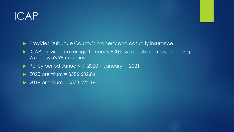### ICAP

**Provides Dubuque County's property and casualty insurance** 

- ICAP provides coverage to nearly 800 Iowa public entities, including 75 of Iowa's 99 counties
- Policy period January 1, 2020 January 1, 2021
- $\geq 2020$  premium = \$386,632.84
- $\geq 2019$  premium = \$373,022.16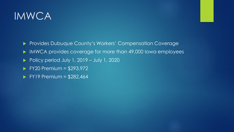

**Provides Dubuque County's Workers' Compensation Coverage** 

- IMWCA provides coverage for more than 49,000 Iowa employees
- Policy period July 1,  $2019 -$  July 1,  $2020$
- $\blacktriangleright$  FY20 Premium = \$293,972
- $\triangleright$  FY19 Premium = \$282,464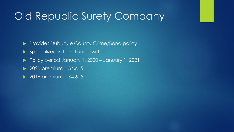#### Old Republic Surety Company

- Provides Dubuque County Crime/Bond policy
- Specialized in bond underwriting
- Policy period January 1, 2020 January 1, 2021
- $\geq 2020$  premium = \$4,615
- $\geq$  2019 premium = \$4,615